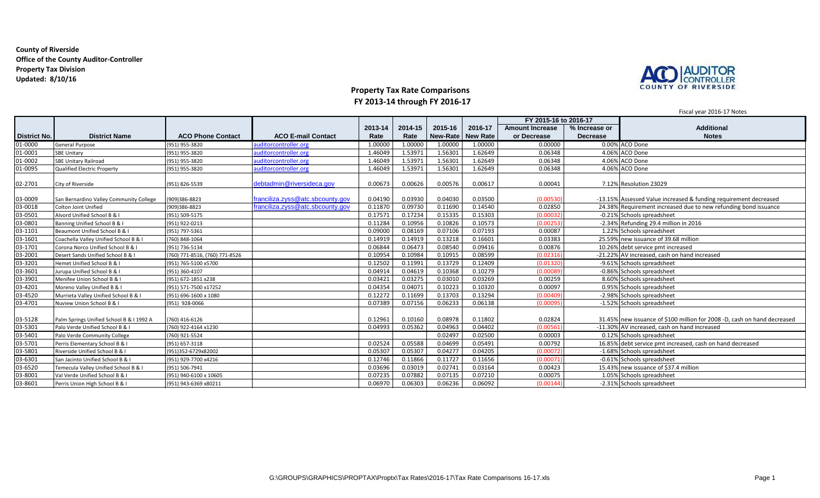### **County of Riverside Office of the County Auditor-Controller Property Tax Division Updated: 8/10/16**



# **Property Tax Rate Comparisons FY 2013-14 through FY 2016-17**

Fiscal year 2016-17 Notes

|                     |                                          |                               |                                  |         |         |          |                 | FY 2015-16 to 2016-17  |                 |                                                                          |
|---------------------|------------------------------------------|-------------------------------|----------------------------------|---------|---------|----------|-----------------|------------------------|-----------------|--------------------------------------------------------------------------|
|                     |                                          |                               |                                  | 2013-14 | 2014-15 | 2015-16  | 2016-17         | <b>Amount Increase</b> | % Increase or   | <b>Additional</b>                                                        |
| <b>District No.</b> | <b>District Name</b>                     | <b>ACO Phone Contact</b>      | <b>ACO E-mail Contact</b>        | Rate    | Rate    | New-Rate | <b>New Rate</b> | or Decrease            | <b>Decrease</b> | <b>Notes</b>                                                             |
| 01-0000             | <b>General Purpose</b>                   | (951) 955-3820                | auditorcontroller.org            | 1.0000  | 1.00000 | 1.00000  | 1.00000         | 0.00000                |                 | 0.00% ACO Done                                                           |
| 01-0001             | <b>SBE Unitarv</b>                       | (951) 955-3820                | auditorcontroller.org            | 1.46049 | 1.53971 | 1.56301  | 1.62649         | 0.06348                |                 | 4.06% ACO Done                                                           |
| 01-0002             | <b>SBE Unitary Railroad</b>              | (951) 955-3820                | auditorcontroller.org            | 1.46049 | 1.53971 | 1.56301  | 1.62649         | 0.06348                |                 | 4.06% ACO Done                                                           |
| 01-0095             | <b>Qualified Electric Property</b>       | (951) 955-3820                | auditorcontroller.org            | 1.46049 | 1.53971 | 1.56301  | 1.62649         | 0.06348                |                 | 4.06% ACO Done                                                           |
| 02-2701             | City of Riverside                        | (951) 826-5539                | debtadmin@riversideca.gov        | 0.00673 | 0.00626 | 0.00576  | 0.00617         | 0.00041                |                 | 7.12% Resolution 23029                                                   |
| 03-0009             | San Bernardino Valley Community College  | (909)386-8823                 | franciliza.zyss@atc.sbcounty.gov | 0.04190 | 0.03930 | 0.04030  | 0.03500         | (0.00530)              |                 | -13.15% Assessed Value increased & funding requirement decreased         |
| 03-0018             | <b>Colton Joint Unified</b>              | (909)386-8823                 | franciliza.zyss@atc.sbcounty.gov | 0.11870 | 0.09730 | 0.11690  | 0.14540         | 0.02850                |                 | 24.38% Requirement increased due to new refunding bond issuance          |
| 03-0501             | Alvord Unified School B & I              | (951) 509-5175                |                                  | 0.17571 | 0.17234 | 0.15335  | 0.15303         | (0.00032)              |                 | -0.21% Schools spreadsheet                                               |
| 03-0801             | Banning Unified School B & I             | (951) 922-0213                |                                  | 0.11284 | 0.10956 | 0.10826  | 0.10573         | (0.00253)              |                 | $-2.34\%$ Refunding 29.4 million in 2016                                 |
| 03-1101             | Beaumont Unified School B & I            | (951) 797-5361                |                                  | 0.0900  | 0.08169 | 0.07106  | 0.07193         | 0.00087                |                 | 1.22% Schools spreadsheet                                                |
| 03-1601             | Coachella Valley Unified School B & I    | (760) 848-1064                |                                  | 0.14919 | 0.14919 | 0.13218  | 0.16601         | 0.03383                |                 | 25.59% new issuance of 39.68 million                                     |
| 03-1701             | Corona Norco Unified School B & I        | (951) 736-5134                |                                  | 0.06844 | 0.06473 | 0.08540  | 0.09416         | 0.00876                |                 | 10.26% debt service pmt increased                                        |
| 03-2001             | Desert Sands Unified School B & I        | 760) 771-8516, (760) 771-8526 |                                  | 0.10954 | 0.10984 | 0.10915  | 0.08599         | (0.02316               |                 | -21.22% AV increased, cash on hand increased                             |
| 03-3201             | Hemet Unified School B &                 | (951) 765-5100 x5700          |                                  | 0.1250  | 0.11991 | 0.13729  | 0.12409         | (0.01320               |                 | -9.61% Schools spreadsheet                                               |
| 03-3601             | Jurupa Unified School B & I              | (951) 360-4107                |                                  | 0.0491  | 0.04619 | 0.10368  | 0.10279         | (0.00089               |                 | -0.86% Schools spreadsheet                                               |
| 03-3901             | Menifee Union School B & I               | (951) 672-1851 x238           |                                  | 0.03421 | 0.03275 | 0.03010  | 0.03269         | 0.00259                |                 | 8.60% Schools spreadsheet                                                |
| 03-4201             | Moreno Valley Unified B & I              | (951) 571-7500 x17252         |                                  | 0.04354 | 0.04071 | 0.10223  | 0.10320         | 0.00097                |                 | 0.95% Schools spreadsheet                                                |
| 03-4520             | Murrieta Valley Unified School B & I     | (951) 696-1600 x 1080         |                                  | 0.12272 | 0.11699 | 0.13703  | 0.13294         | (0.00409)              |                 | -2.98% Schools spreadsheet                                               |
| 03-4701             | Nuview Union School B & I                | (951) 928-0066                |                                  | 0.07389 | 0.07156 | 0.06233  | 0.06138         | (0.00095)              |                 | -1.52% Schools spreadsheet                                               |
| 03-5128             | Palm Springs Unified School B & I 1992 A | (760) 416-6126                |                                  | 0.12961 | 0.10160 | 0.08978  | 0.11802         | 0.02824                |                 | 31.45% new issuance of \$100 million for 2008 -D, cash on hand decreased |
| 03-5301             | Palo Verde Unified School B & I          | 760) 922-4164 x1230           |                                  | 0.04993 | 0.05362 | 0.04963  | 0.04402         | (0.00561)              |                 | -11.30% AV increased, cash on hand increased                             |
| 03-5401             | Palo Verde Community College             | (760) 921-5524                |                                  |         |         | 0.02497  | 0.02500         | 0.00003                |                 | 0.12% Schools spreadsheet                                                |
| 03-5701             | Perris Elementary School B & I           | 951) 657-3118                 |                                  | 0.02524 | 0.05588 | 0.04699  | 0.05491         | 0.00792                |                 | 16.85% debt service pmt increased, cash on hand decreased                |
| 03-5801             | Riverside Unified School B & I           | 951)352-6729x82002            |                                  | 0.0530  | 0.05307 | 0.04277  | 0.04205         | (0.00072)              |                 | -1.68% Schools spreadsheet                                               |
| 03-6301             | San Jacinto Unified School B &           | (951) 929-7700 x4216          |                                  | 0.12746 | 0.11866 | 0.11727  | 0.11656         | (0.00071)              |                 | -0.61% Schools spreadsheet                                               |
| 03-6520             | Temecula Valley Unified School B & I     | (951) 506-7941                |                                  | 0.03696 | 0.03019 | 0.02741  | 0.03164         | 0.00423                |                 | 15.43% new issuance of \$37.4 million                                    |
| 03-8001             | Val Verde Unified School B & I           | (951) 940-6100 x 10605        |                                  | 0.07235 | 0.07882 | 0.07135  | 0.07210         | 0.00075                |                 | 1.05% Schools spreadsheet                                                |
| 03-8601             | Perris Union High School B & I           | (951) 943-6369 x80211         |                                  | 0.06970 | 0.06303 | 0.06236  | 0.06092         | (0.00144)              |                 | -2.31% Schools spreadsheet                                               |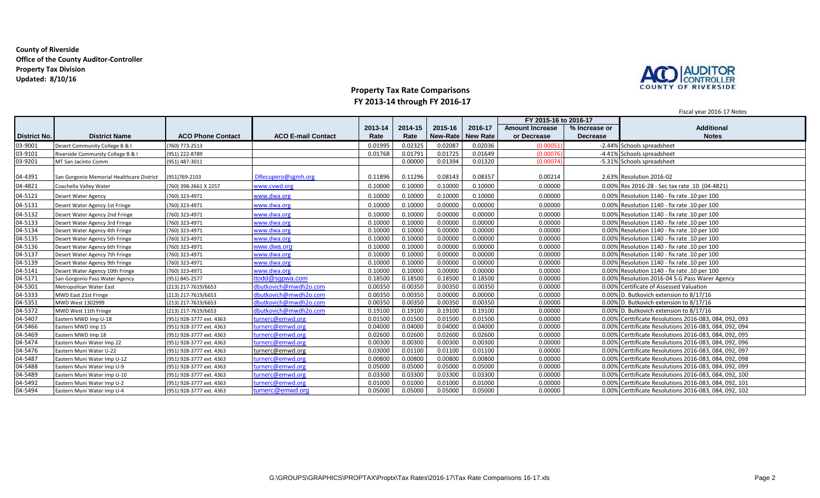### **County of Riverside Office of the County Auditor-Controller Property Tax Division Updated: 8/10/16**



# **Property Tax Rate Comparisons FY 2013-14 through FY 2016-17**

Fiscal year 2016-17 Notes

|                     |                                           |                          |                           |         |         |          | FY 2015-16 to 2016-17 |                        |                 |                                                        |
|---------------------|-------------------------------------------|--------------------------|---------------------------|---------|---------|----------|-----------------------|------------------------|-----------------|--------------------------------------------------------|
|                     |                                           |                          |                           | 2013-14 | 2014-15 | 2015-16  | 2016-17               | <b>Amount Increase</b> | % Increase or   | <b>Additional</b>                                      |
| <b>District No.</b> | <b>District Name</b>                      | <b>ACO Phone Contact</b> | <b>ACO E-mail Contact</b> | Rate    | Rate    | New-Rate | <b>New Rate</b>       | or Decrease            | <b>Decrease</b> | <b>Notes</b>                                           |
| 03-9001             | Desert Community College B & I            | (760) 773-2513           |                           | 0.01995 | 0.02325 | 0.02087  | 0.02036               | (0.00051)              |                 | -2.44% Schools spreadsheet                             |
| 03-9101             | Riverside Community College B & I         | (951) 222-8789           |                           | 0.01768 | 0.01791 | 0.01725  | 0.01649               | (0.00076)              |                 | -4.41% Schools spreadsheet                             |
| 03-9201             | MT San Jacinto Comm                       | (951) 487-3011           |                           |         | 0.00000 | 0.01394  | 0.01320               | (0.00074)              |                 | -5.31% Schools spreadsheet                             |
| 04-4391             | San Gorgonio Memorial Healthcare District | (951)769-2103            | DRecupero@sgmh.org        | 0.11896 | 0.11296 | 0.08143  | 0.08357               | 0.00214                |                 | 2.63% Resolution 2016-02                               |
| 04-4821             | Coachella Valley Water                    | 760) 398-2661 X 2257     | www.cvwd.org              | 0.10000 | 0.10000 | 0.10000  | 0.10000               | 0.00000                |                 | 0.00% Res 2016-28 - Sec tax rate .10 (04-4821)         |
|                     |                                           |                          |                           |         |         |          |                       |                        |                 |                                                        |
| 04-5121             | Desert Water Agency                       | (760) 323-4971           | www.dwa.org               | 0.10000 | 0.10000 | 0.10000  | 0.10000               | 0.00000                |                 | 0.00% Resolution 1140 - fix rate .10 per 100           |
| 04-5131             | Desert Water Agency 1st Fringe            | (760) 323-4971           | www.dwa.org               | 0.10000 | 0.10000 | 0.00000  | 0.00000               | 0.00000                |                 | 0.00% Resolution 1140 - fix rate .10 per 100           |
| 04-5132             | Desert Water Agency 2nd Fringe            | (760) 323-4971           | www.dwa.org               | 0.10000 | 0.10000 | 0.00000  | 0.00000               | 0.00000                |                 | 0.00% Resolution 1140 - fix rate .10 per 100           |
| 04-5133             | Desert Water Agency 3rd Fringe            | (760) 323-4971           | www.dwa.org               | 0.10000 | 0.10000 | 0.00000  | 0.00000               | 0.00000                |                 | 0.00% Resolution 1140 - fix rate .10 per 100           |
| 04-5134             | Desert Water Agency 4th Fringe            | (760) 323-4971           | www.dwa.org               | 0.10000 | 0.10000 | 0.00000  | 0.00000               | 0.00000                |                 | 0.00% Resolution 1140 - fix rate .10 per 100           |
| 04-5135             | Desert Water Agency 5th Fringe            | (760) 323-4971           | www.dwa.org               | 0.10000 | 0.10000 | 0.00000  | 0.00000               | 0.00000                |                 | 0.00% Resolution 1140 - fix rate .10 per 100           |
| 04-5136             | Desert Water Agency 6th Fringe            | (760) 323-4971           | www.dwa.org               | 0.10000 | 0.10000 | 0.00000  | 0.00000               | 0.00000                |                 | 0.00% Resolution 1140 - fix rate .10 per 100           |
| 04-5137             | Desert Water Agency 7th Fringe            | (760) 323-4971           | www.dwa.org               | 0.10000 | 0.10000 | 0.00000  | 0.00000               | 0.00000                |                 | 0.00% Resolution 1140 - fix rate .10 per 100           |
| 04-5139             | Desert Water Agency 9th Fringe            | (760) 323-4971           | www.dwa.org               | 0.10000 | 0.10000 | 0.00000  | 0.00000               | 0.00000                |                 | 0.00% Resolution 1140 - fix rate .10 per 100           |
| 04-5141             | Desert Water Agency 10th Fringe           | (760) 323-4971           | www.dwa.org               | 0.10000 | 0.10000 | 0.00000  | 0.00000               | 0.00000                |                 | 0.00% Resolution 1140 - fix rate .10 per 100           |
| 04-5171             | San Gorgonio Pass Water Agency            | (951) 845-2577           | ttodd@sgpwa.com           | 0.18500 | 0.18500 | 0.18500  | 0.18500               | 0.00000                |                 | 0.00% Resolution 2016-04 S.G Pass Warer Agency         |
| 04-5301             | Metropolitan Water East                   | (213) 217-7619/6653      | dbutkovich@mwdh2o.com     | 0.00350 | 0.00350 | 0.00350  | 0.00350               | 0.00000                |                 | 0.00% Certificate of Assessed Valuation                |
| 04-5333             | MWD East 21st Fringe                      | (213) 217-7619/6653      | dbutkovich@mwdh2o.com     | 0.00350 | 0.00350 | 0.00000  | 0.00000               | 0.00000                |                 | 0.00% D. Butkovich extension to 8/17/16                |
| 04-5351             | MWD West 1302999                          | (213) 217-7619/6653      | dbutkovich@mwdh2o.com     | 0.00350 | 0.00350 | 0.00350  | 0.00350               | 0.00000                |                 | 0.00% D. Butkovich extension to 8/17/16                |
| 04-5372             | MWD West 11th Fringe                      | (213) 217-7619/6653      | dbutkovich@mwdh2o.com     | 0.19100 | 0.19100 | 0.19100  | 0.19100               | 0.00000                |                 | 0.00% D. Butkovich extension to 8/17/16                |
| 04-5407             | Eastern MWD Imp U-18                      | (951) 928-3777 ext. 4363 | turnerc@emwd.org          | 0.01500 | 0.01500 | 0.01500  | 0.01500               | 0.00000                |                 | 0.00% Certtificate Resolutions 2016-083, 084, 092, 093 |
| 04-5466             | Eastern MWD Imp 15                        | (951) 928-3777 ext. 4363 | turnerc@emwd.org          | 0.04000 | 0.04000 | 0.04000  | 0.04000               | 0.00000                |                 | 0.00% Certtificate Resolutions 2016-083, 084, 092, 094 |
| 04-5469             | Eastern MWD Imp 18                        | (951) 928-3777 ext. 4363 | turnerc@emwd.org          | 0.02600 | 0.02600 | 0.02600  | 0.02600               | 0.00000                |                 | 0.00% Certtificate Resolutions 2016-083, 084, 092, 095 |
| 04-5474             | Eastern Muni Water Imp 22                 | (951) 928-3777 ext. 4363 | turnerc@emwd.org          | 0.00300 | 0.00300 | 0.00300  | 0.00300               | 0.00000                |                 | 0.00% Certtificate Resolutions 2016-083, 084, 092, 096 |
| 04-5476             | Eastern Muni Water U-22                   | (951) 928-3777 ext. 4363 | turnerc@emwd.org          | 0.03000 | 0.01100 | 0.01100  | 0.01100               | 0.00000                |                 | 0.00% Certtificate Resolutions 2016-083, 084, 092, 097 |
| 04-5487             | Eastern Muni Water Imp U-12               | (951) 928-3777 ext. 4363 | turnerc@emwd.org          | 0.00800 | 0.00800 | 0.00800  | 0.00800               | 0.00000                |                 | 0.00% Certtificate Resolutions 2016-083, 084, 092, 098 |
| 04-5488             | Eastern Muni Water Imp U-9                | (951) 928-3777 ext. 4363 | turnerc@emwd.org          | 0.05000 | 0.05000 | 0.05000  | 0.05000               | 0.00000                |                 | 0.00% Certtificate Resolutions 2016-083, 084, 092, 099 |
| 04-5489             | Eastern Muni Water Imp U-10               | (951) 928-3777 ext. 4363 | turnerc@emwd.org          | 0.03300 | 0.03300 | 0.03300  | 0.03300               | 0.00000                |                 | 0.00% Certtificate Resolutions 2016-083, 084, 092, 100 |
| 04-5492             | Eastern Muni Water Imp U-2                | (951) 928-3777 ext. 4363 | turnerc@emwd.org          | 0.01000 | 0.01000 | 0.01000  | 0.01000               | 0.00000                |                 | 0.00% Certtificate Resolutions 2016-083, 084, 092, 101 |
| 04-5494             | Eastern Muni Water Imp U-4                | (951) 928-3777 ext. 4363 | turnerc@emwd.org          | 0.05000 | 0.05000 | 0.05000  | 0.05000               | 0.00000                |                 | 0.00% Certtificate Resolutions 2016-083, 084, 092, 102 |